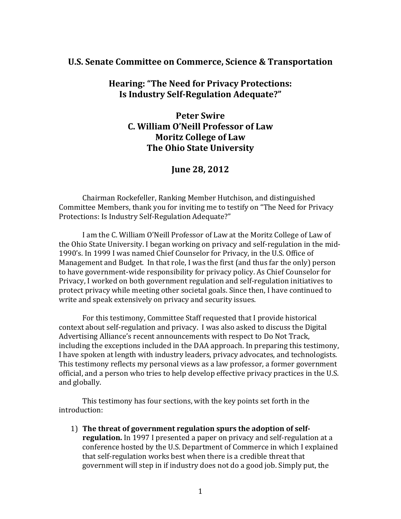## **U.S. Senate Committee on Commerce, Science & Transportation**

# **Hearing: "The Need for Privacy Protections: Is Industry Self-Regulation Adequate?"**

**Peter Swire C. William O'Neill Professor of Law Moritz College of Law The Ohio State University**

# **June 28, 2012**

Chairman Rockefeller, Ranking Member Hutchison, and distinguished Committee Members, thank you for inviting me to testify on "The Need for Privacy Protections: Is Industry Self-Regulation Adequate?"

I am the C. William O'Neill Professor of Law at the Moritz College of Law of the Ohio State University. I began working on privacy and self-regulation in the mid-1990's. In 1999 I was named Chief Counselor for Privacy, in the U.S. Office of Management and Budget. In that role, I was the first (and thus far the only) person to have government-wide responsibility for privacy policy. As Chief Counselor for Privacy, I worked on both government regulation and self-regulation initiatives to protect privacy while meeting other societal goals. Since then, I have continued to write and speak extensively on privacy and security issues.

For this testimony, Committee Staff requested that I provide historical context about self-regulation and privacy. I was also asked to discuss the Digital Advertising Alliance's recent announcements with respect to Do Not Track, including the exceptions included in the DAA approach. In preparing this testimony, I have spoken at length with industry leaders, privacy advocates, and technologists. This testimony reflects my personal views as a law professor, a former government official, and a person who tries to help develop effective privacy practices in the U.S. and globally.

This testimony has four sections, with the key points set forth in the introduction:

1) **The threat of government regulation spurs the adoption of selfregulation.** In 1997 I presented a paper on privacy and self-regulation at a conference hosted by the U.S. Department of Commerce in which I explained that self-regulation works best when there is a credible threat that government will step in if industry does not do a good job. Simply put, the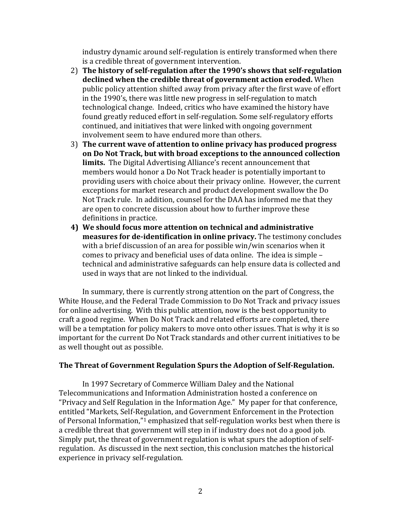industry dynamic around self-regulation is entirely transformed when there is a credible threat of government intervention.

- 2) **The history of self-regulation after the 1990's shows that self-regulation declined when the credible threat of government action eroded.** When public policy attention shifted away from privacy after the first wave of effort in the 1990's, there was little new progress in self-regulation to match technological change. Indeed, critics who have examined the history have found greatly reduced effort in self-regulation. Some self-regulatory efforts continued, and initiatives that were linked with ongoing government involvement seem to have endured more than others.
- 3) **The current wave of attention to online privacy has produced progress on Do Not Track, but with broad exceptions to the announced collection limits.** The Digital Advertising Alliance's recent announcement that members would honor a Do Not Track header is potentially important to providing users with choice about their privacy online. However, the current exceptions for market research and product development swallow the Do Not Track rule. In addition, counsel for the DAA has informed me that they are open to concrete discussion about how to further improve these definitions in practice.
- **4) We should focus more attention on technical and administrative measures for de-identification in online privacy.** The testimony concludes with a brief discussion of an area for possible win/win scenarios when it comes to privacy and beneficial uses of data online. The idea is simple – technical and administrative safeguards can help ensure data is collected and used in ways that are not linked to the individual.

In summary, there is currently strong attention on the part of Congress, the White House, and the Federal Trade Commission to Do Not Track and privacy issues for online advertising. With this public attention, now is the best opportunity to craft a good regime. When Do Not Track and related efforts are completed, there will be a temptation for policy makers to move onto other issues. That is why it is so important for the current Do Not Track standards and other current initiatives to be as well thought out as possible.

## **The Threat of Government Regulation Spurs the Adoption of Self-Regulation.**

In 1997 Secretary of Commerce William Daley and the National Telecommunications and Information Administration hosted a conference on "Privacy and Self Regulation in the Information Age." My paper for that conference, entitled "Markets, Self-Regulation, and Government Enforcement in the Protection of Personal Information,"<sup>1</sup> emphasized that self-regulation works best when there is a credible threat that government will step in if industry does not do a good job. Simply put, the threat of government regulation is what spurs the adoption of selfregulation. As discussed in the next section, this conclusion matches the historical experience in privacy self-regulation.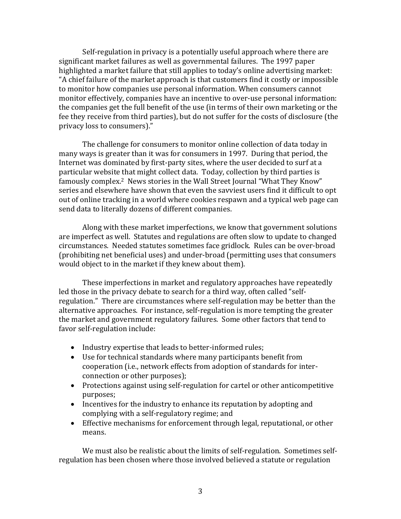Self-regulation in privacy is a potentially useful approach where there are significant market failures as well as governmental failures. The 1997 paper highlighted a market failure that still applies to today's online advertising market: "A chief failure of the market approach is that customers find it costly or impossible to monitor how companies use personal information. When consumers cannot monitor effectively, companies have an incentive to over-use personal information: the companies get the full benefit of the use (in terms of their own marketing or the fee they receive from third parties), but do not suffer for the costs of disclosure (the privacy loss to consumers)."

The challenge for consumers to monitor online collection of data today in many ways is greater than it was for consumers in 1997. During that period, the Internet was dominated by first-party sites, where the user decided to surf at a particular website that might collect data. Today, collection by third parties is famously complex.<sup>2</sup> News stories in the Wall Street Journal "What They Know" series and elsewhere have shown that even the savviest users find it difficult to opt out of online tracking in a world where cookies respawn and a typical web page can send data to literally dozens of different companies.

Along with these market imperfections, we know that government solutions are imperfect as well. Statutes and regulations are often slow to update to changed circumstances. Needed statutes sometimes face gridlock. Rules can be over-broad (prohibiting net beneficial uses) and under-broad (permitting uses that consumers would object to in the market if they knew about them).

These imperfections in market and regulatory approaches have repeatedly led those in the privacy debate to search for a third way, often called "selfregulation." There are circumstances where self-regulation may be better than the alternative approaches. For instance, self-regulation is more tempting the greater the market and government regulatory failures. Some other factors that tend to favor self-regulation include:

- Industry expertise that leads to better-informed rules;
- Use for technical standards where many participants benefit from cooperation (i.e., network effects from adoption of standards for interconnection or other purposes);
- Protections against using self-regulation for cartel or other anticompetitive purposes;
- Incentives for the industry to enhance its reputation by adopting and complying with a self-regulatory regime; and
- Effective mechanisms for enforcement through legal, reputational, or other means.

We must also be realistic about the limits of self-regulation. Sometimes selfregulation has been chosen where those involved believed a statute or regulation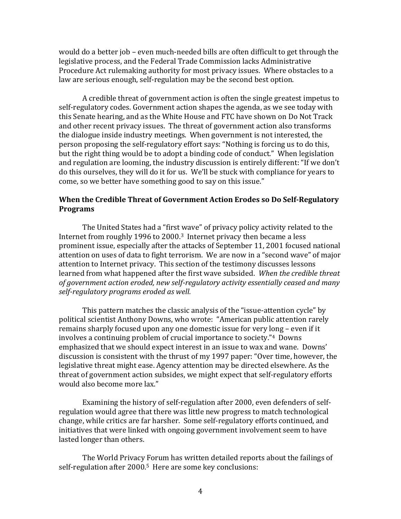would do a better job – even much-needed bills are often difficult to get through the legislative process, and the Federal Trade Commission lacks Administrative Procedure Act rulemaking authority for most privacy issues. Where obstacles to a law are serious enough, self-regulation may be the second best option.

A credible threat of government action is often the single greatest impetus to self-regulatory codes. Government action shapes the agenda, as we see today with this Senate hearing, and as the White House and FTC have shown on Do Not Track and other recent privacy issues. The threat of government action also transforms the dialogue inside industry meetings. When government is not interested, the person proposing the self-regulatory effort says: "Nothing is forcing us to do this, but the right thing would be to adopt a binding code of conduct." When legislation and regulation are looming, the industry discussion is entirely different: "If we don't do this ourselves, they will do it for us. We'll be stuck with compliance for years to come, so we better have something good to say on this issue."

## **When the Credible Threat of Government Action Erodes so Do Self-Regulatory Programs**

The United States had a "first wave" of privacy policy activity related to the Internet from roughly 1996 to 2000. <sup>3</sup> Internet privacy then became a less prominent issue, especially after the attacks of September 11, 2001 focused national attention on uses of data to fight terrorism. We are now in a "second wave" of major attention to Internet privacy. This section of the testimony discusses lessons learned from what happened after the first wave subsided. *When the credible threat of government action eroded, new self-regulatory activity essentially ceased and many self-regulatory programs eroded as well.*

This pattern matches the classic analysis of the "issue-attention cycle" by political scientist Anthony Downs, who wrote: "American public attention rarely remains sharply focused upon any one domestic issue for very long – even if it involves a continuing problem of crucial importance to society."4 Downs emphasized that we should expect interest in an issue to wax and wane. Downs' discussion is consistent with the thrust of my 1997 paper: "Over time, however, the legislative threat might ease. Agency attention may be directed elsewhere. As the threat of government action subsides, we might expect that self-regulatory efforts would also become more lax."

Examining the history of self-regulation after 2000, even defenders of selfregulation would agree that there was little new progress to match technological change, while critics are far harsher. Some self-regulatory efforts continued, and initiatives that were linked with ongoing government involvement seem to have lasted longer than others.

The World Privacy Forum has written detailed reports about the failings of self-regulation after 2000.<sup>5</sup> Here are some key conclusions: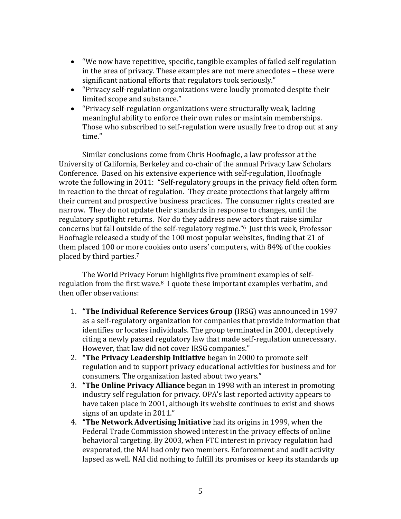- "We now have repetitive, specific, tangible examples of failed self regulation in the area of privacy. These examples are not mere anecdotes – these were significant national efforts that regulators took seriously."
- "Privacy self-regulation organizations were loudly promoted despite their limited scope and substance."
- "Privacy self-regulation organizations were structurally weak, lacking meaningful ability to enforce their own rules or maintain memberships. Those who subscribed to self-regulation were usually free to drop out at any time."

Similar conclusions come from Chris Hoofnagle, a law professor at the University of California, Berkeley and co-chair of the annual Privacy Law Scholars Conference. Based on his extensive experience with self-regulation, Hoofnagle wrote the following in 2011: "Self-regulatory groups in the privacy field often form in reaction to the threat of regulation. They create protections that largely affirm their current and prospective business practices. The consumer rights created are narrow. They do not update their standards in response to changes, until the regulatory spotlight returns. Nor do they address new actors that raise similar concerns but fall outside of the self-regulatory regime." <sup>6</sup> Just this week, Professor Hoofnagle released a study of the 100 most popular websites, finding that 21 of them placed 100 or more cookies onto users' computers, with 84% of the cookies placed by third parties.<sup>7</sup>

The World Privacy Forum highlights five prominent examples of selfregulation from the first wave. $8\,$  I quote these important examples verbatim, and then offer observations:

- 1. **"The Individual Reference Services Group** (IRSG) was announced in 1997 as a self-regulatory organization for companies that provide information that identifies or locates individuals. The group terminated in 2001, deceptively citing a newly passed regulatory law that made self-regulation unnecessary. However, that law did not cover IRSG companies."
- 2. **"The Privacy Leadership Initiative** began in 2000 to promote self regulation and to support privacy educational activities for business and for consumers. The organization lasted about two years."
- 3. **"The Online Privacy Alliance** began in 1998 with an interest in promoting industry self regulation for privacy. OPA's last reported activity appears to have taken place in 2001, although its website continues to exist and shows signs of an update in 2011."
- 4. **"The Network Advertising Initiative** had its origins in 1999, when the Federal Trade Commission showed interest in the privacy effects of online behavioral targeting. By 2003, when FTC interest in privacy regulation had evaporated, the NAI had only two members. Enforcement and audit activity lapsed as well. NAI did nothing to fulfill its promises or keep its standards up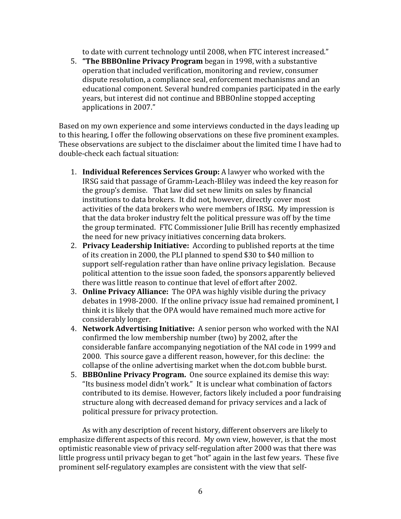to date with current technology until 2008, when FTC interest increased."

5. **"The BBBOnline Privacy Program** began in 1998, with a substantive operation that included verification, monitoring and review, consumer dispute resolution, a compliance seal, enforcement mechanisms and an educational component. Several hundred companies participated in the early years, but interest did not continue and BBBOnline stopped accepting applications in 2007."

Based on my own experience and some interviews conducted in the days leading up to this hearing, I offer the following observations on these five prominent examples. These observations are subject to the disclaimer about the limited time I have had to double-check each factual situation:

- 1. **Individual References Services Group:** A lawyer who worked with the IRSG said that passage of Gramm-Leach-Bliley was indeed the key reason for the group's demise.That law did set new limits on sales by financial institutions to data brokers. It did not, however, directly cover most activities of the data brokers who were members of IRSG. My impression is that the data broker industry felt the political pressure was off by the time the group terminated. FTC Commissioner Julie Brill has recently emphasized the need for new privacy initiatives concerning data brokers.
- 2. **Privacy Leadership Initiative:** According to published reports at the time of its creation in 2000, the PLI planned to spend \$30 to \$40 million to support self-regulation rather than have online privacy legislation. Because political attention to the issue soon faded, the sponsors apparently believed there was little reason to continue that level of effort after 2002.
- 3. **Online Privacy Alliance:** The OPA was highly visible during the privacy debates in 1998-2000. If the online privacy issue had remained prominent, I think it is likely that the OPA would have remained much more active for considerably longer.
- 4. **Network Advertising Initiative:** A senior person who worked with the NAI confirmed the low membership number (two) by 2002, after the considerable fanfare accompanying negotiation of the NAI code in 1999 and 2000. This source gave a different reason, however, for this decline: the collapse of the online advertising market when the dot.com bubble burst.
- 5. **BBBOnline Privacy Program.** One source explained its demise this way: "Its business model didn't work." It is unclear what combination of factors contributed to its demise. However, factors likely included a poor fundraising structure along with decreased demand for privacy services and a lack of political pressure for privacy protection.

As with any description of recent history, different observers are likely to emphasize different aspects of this record. My own view, however, is that the most optimistic reasonable view of privacy self-regulation after 2000 was that there was little progress until privacy began to get "hot" again in the last few years. These five prominent self-regulatory examples are consistent with the view that self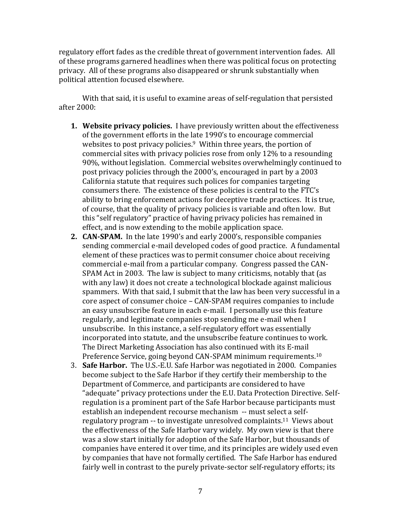regulatory effort fades as the credible threat of government intervention fades. All of these programs garnered headlines when there was political focus on protecting privacy. All of these programs also disappeared or shrunk substantially when political attention focused elsewhere.

With that said, it is useful to examine areas of self-regulation that persisted after 2000:

- **1. Website privacy policies.** I have previously written about the effectiveness of the government efforts in the late 1990's to encourage commercial websites to post privacy policies.<sup>9</sup> Within three years, the portion of commercial sites with privacy policies rose from only 12% to a resounding 90%, without legislation. Commercial websites overwhelmingly continued to post privacy policies through the 2000's, encouraged in part by a 2003 California statute that requires such polices for companies targeting consumers there. The existence of these policies is central to the FTC's ability to bring enforcement actions for deceptive trade practices. It is true, of course, that the quality of privacy policies is variable and often low. But this "self regulatory" practice of having privacy policies has remained in effect, and is now extending to the mobile application space.
- **2. CAN-SPAM.** In the late 1990's and early 2000's, responsible companies sending commercial e-mail developed codes of good practice. A fundamental element of these practices was to permit consumer choice about receiving commercial e-mail from a particular company. Congress passed the CAN-SPAM Act in 2003. The law is subject to many criticisms, notably that (as with any law) it does not create a technological blockade against malicious spammers. With that said, I submit that the law has been very successful in a core aspect of consumer choice – CAN-SPAM requires companies to include an easy unsubscribe feature in each e-mail. I personally use this feature regularly, and legitimate companies stop sending me e-mail when I unsubscribe. In this instance, a self-regulatory effort was essentially incorporated into statute, and the unsubscribe feature continues to work. The Direct Marketing Association has also continued with its E-mail Preference Service, going beyond CAN-SPAM minimum requirements.<sup>10</sup>
- 3. **Safe Harbor.** The U.S.-E.U. Safe Harbor was negotiated in 2000. Companies become subject to the Safe Harbor if they certify their membership to the Department of Commerce, and participants are considered to have "adequate" privacy protections under the E.U. Data Protection Directive. Selfregulation is a prominent part of the Safe Harbor because participants must establish an independent recourse mechanism -- must select a selfregulatory program -- to investigate unresolved complaints.11 Views about the effectiveness of the Safe Harbor vary widely. My own view is that there was a slow start initially for adoption of the Safe Harbor, but thousands of companies have entered it over time, and its principles are widely used even by companies that have not formally certified. The Safe Harbor has endured fairly well in contrast to the purely private-sector self-regulatory efforts; its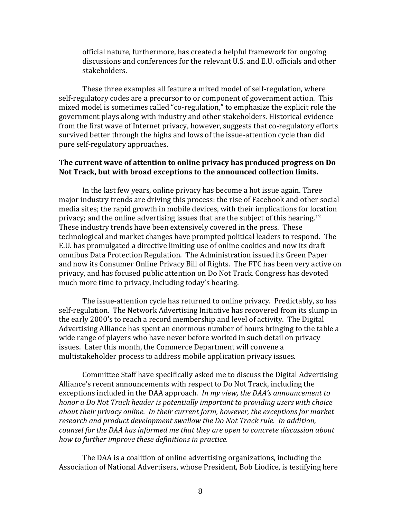official nature, furthermore, has created a helpful framework for ongoing discussions and conferences for the relevant U.S. and E.U. officials and other stakeholders.

These three examples all feature a mixed model of self-regulation, where self-regulatory codes are a precursor to or component of government action. This mixed model is sometimes called "co-regulation," to emphasize the explicit role the government plays along with industry and other stakeholders. Historical evidence from the first wave of Internet privacy, however, suggests that co-regulatory efforts survived better through the highs and lows of the issue-attention cycle than did pure self-regulatory approaches.

### **The current wave of attention to online privacy has produced progress on Do Not Track, but with broad exceptions to the announced collection limits.**

In the last few years, online privacy has become a hot issue again. Three major industry trends are driving this process: the rise of Facebook and other social media sites; the rapid growth in mobile devices, with their implications for location privacy; and the online advertising issues that are the subject of this hearing.<sup>12</sup> These industry trends have been extensively covered in the press. These technological and market changes have prompted political leaders to respond. The E.U. has promulgated a directive limiting use of online cookies and now its draft omnibus Data Protection Regulation. The Administration issued its Green Paper and now its Consumer Online Privacy Bill of Rights. The FTC has been very active on privacy, and has focused public attention on Do Not Track. Congress has devoted much more time to privacy, including today's hearing.

The issue-attention cycle has returned to online privacy. Predictably, so has self-regulation. The Network Advertising Initiative has recovered from its slump in the early 2000's to reach a record membership and level of activity. The Digital Advertising Alliance has spent an enormous number of hours bringing to the table a wide range of players who have never before worked in such detail on privacy issues. Later this month, the Commerce Department will convene a multistakeholder process to address mobile application privacy issues.

Committee Staff have specifically asked me to discuss the Digital Advertising Alliance's recent announcements with respect to Do Not Track, including the exceptions included in the DAA approach. *In my view, the DAA's announcement to honor a Do Not Track header is potentially important to providing users with choice about their privacy online. In their current form, however, the exceptions for market research and product development swallow the Do Not Track rule. In addition, counsel for the DAA has informed me that they are open to concrete discussion about how to further improve these definitions in practice.*

The DAA is a coalition of online advertising organizations, including the Association of National Advertisers, whose President, Bob Liodice, is testifying here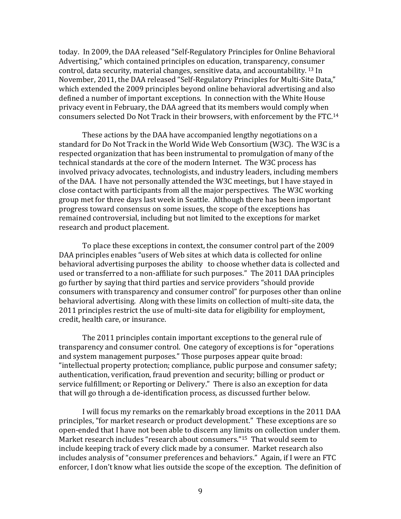today. In 2009, the DAA released "Self-Regulatory Principles for Online Behavioral Advertising," which contained principles on education, transparency, consumer control, data security, material changes, sensitive data, and accountability. <sup>13</sup> In November, 2011, the DAA released "Self-Regulatory Principles for Multi-Site Data," which extended the 2009 principles beyond online behavioral advertising and also defined a number of important exceptions. In connection with the White House privacy event in February, the DAA agreed that its members would comply when consumers selected Do Not Track in their browsers, with enforcement by the FTC.<sup>14</sup>

These actions by the DAA have accompanied lengthy negotiations on a standard for Do Not Track in the World Wide Web Consortium (W3C). The W3C is a respected organization that has been instrumental to promulgation of many of the technical standards at the core of the modern Internet. The W3C process has involved privacy advocates, technologists, and industry leaders, including members of the DAA. I have not personally attended the W3C meetings, but I have stayed in close contact with participants from all the major perspectives. The W3C working group met for three days last week in Seattle. Although there has been important progress toward consensus on some issues, the scope of the exceptions has remained controversial, including but not limited to the exceptions for market research and product placement.

To place these exceptions in context, the consumer control part of the 2009 DAA principles enables "users of Web sites at which data is collected for online behavioral advertising purposes the ability to choose whether data is collected and used or transferred to a non-affiliate for such purposes." The 2011 DAA principles go further by saying that third parties and service providers "should provide consumers with transparency and consumer control" for purposes other than online behavioral advertising. Along with these limits on collection of multi-site data, the 2011 principles restrict the use of multi-site data for eligibility for employment, credit, health care, or insurance.

The 2011 principles contain important exceptions to the general rule of transparency and consumer control. One category of exceptions is for "operations and system management purposes." Those purposes appear quite broad: "intellectual property protection; compliance, public purpose and consumer safety; authentication, verification, fraud prevention and security; billing or product or service fulfillment; or Reporting or Delivery." There is also an exception for data that will go through a de-identification process, as discussed further below.

I will focus my remarks on the remarkably broad exceptions in the 2011 DAA principles, "for market research or product development." These exceptions are so open-ended that I have not been able to discern any limits on collection under them. Market research includes "research about consumers."15 That would seem to include keeping track of every click made by a consumer. Market research also includes analysis of "consumer preferences and behaviors." Again, if I were an FTC enforcer, I don't know what lies outside the scope of the exception. The definition of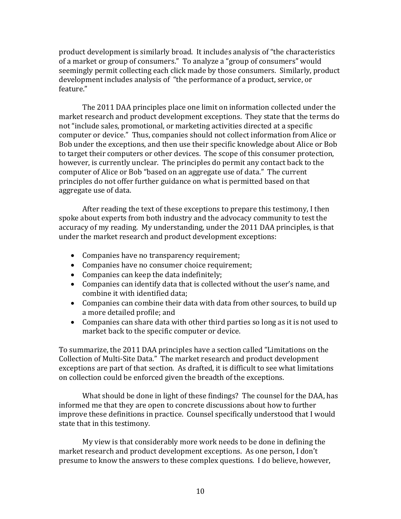product development is similarly broad. It includes analysis of "the characteristics of a market or group of consumers." To analyze a "group of consumers" would seemingly permit collecting each click made by those consumers. Similarly, product development includes analysis of "the performance of a product, service, or feature."

The 2011 DAA principles place one limit on information collected under the market research and product development exceptions. They state that the terms do not "include sales, promotional, or marketing activities directed at a specific computer or device." Thus, companies should not collect information from Alice or Bob under the exceptions, and then use their specific knowledge about Alice or Bob to target their computers or other devices. The scope of this consumer protection, however, is currently unclear. The principles do permit any contact back to the computer of Alice or Bob "based on an aggregate use of data." The current principles do not offer further guidance on what is permitted based on that aggregate use of data.

After reading the text of these exceptions to prepare this testimony, I then spoke about experts from both industry and the advocacy community to test the accuracy of my reading. My understanding, under the 2011 DAA principles, is that under the market research and product development exceptions:

- Companies have no transparency requirement;
- Companies have no consumer choice requirement;
- Companies can keep the data indefinitely;
- Companies can identify data that is collected without the user's name, and combine it with identified data;
- Companies can combine their data with data from other sources, to build up a more detailed profile; and
- Companies can share data with other third parties so long as it is not used to market back to the specific computer or device.

To summarize, the 2011 DAA principles have a section called "Limitations on the Collection of Multi-Site Data." The market research and product development exceptions are part of that section. As drafted, it is difficult to see what limitations on collection could be enforced given the breadth of the exceptions.

What should be done in light of these findings? The counsel for the DAA, has informed me that they are open to concrete discussions about how to further improve these definitions in practice. Counsel specifically understood that I would state that in this testimony.

My view is that considerably more work needs to be done in defining the market research and product development exceptions. As one person, I don't presume to know the answers to these complex questions. I do believe, however,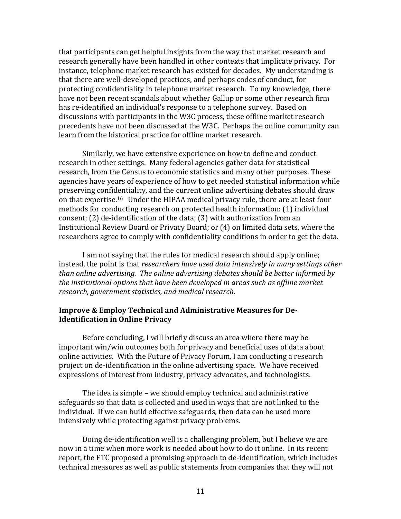that participants can get helpful insights from the way that market research and research generally have been handled in other contexts that implicate privacy. For instance, telephone market research has existed for decades. My understanding is that there are well-developed practices, and perhaps codes of conduct, for protecting confidentiality in telephone market research. To my knowledge, there have not been recent scandals about whether Gallup or some other research firm has re-identified an individual's response to a telephone survey. Based on discussions with participants in the W3C process, these offline market research precedents have not been discussed at the W3C. Perhaps the online community can learn from the historical practice for offline market research.

Similarly, we have extensive experience on how to define and conduct research in other settings. Many federal agencies gather data for statistical research, from the Census to economic statistics and many other purposes. These agencies have years of experience of how to get needed statistical information while preserving confidentiality, and the current online advertising debates should draw on that expertise.16 Under the HIPAA medical privacy rule, there are at least four methods for conducting research on protected health information: (1) individual consent; (2) de-identification of the data; (3) with authorization from an Institutional Review Board or Privacy Board; or (4) on limited data sets, where the researchers agree to comply with confidentiality conditions in order to get the data.

I am not saying that the rules for medical research should apply online; instead, the point is that *researchers have used data intensively in many settings other than online advertising. The online advertising debates should be better informed by the institutional options that have been developed in areas such as offline market research, government statistics, and medical research*.

### **Improve & Employ Technical and Administrative Measures for De-Identification in Online Privacy**

Before concluding, I will briefly discuss an area where there may be important win/win outcomes both for privacy and beneficial uses of data about online activities. With the Future of Privacy Forum, I am conducting a research project on de-identification in the online advertising space. We have received expressions of interest from industry, privacy advocates, and technologists.

The idea is simple – we should employ technical and administrative safeguards so that data is collected and used in ways that are not linked to the individual. If we can build effective safeguards, then data can be used more intensively while protecting against privacy problems.

Doing de-identification well is a challenging problem, but I believe we are now in a time when more work is needed about how to do it online. In its recent report, the FTC proposed a promising approach to de-identification, which includes technical measures as well as public statements from companies that they will not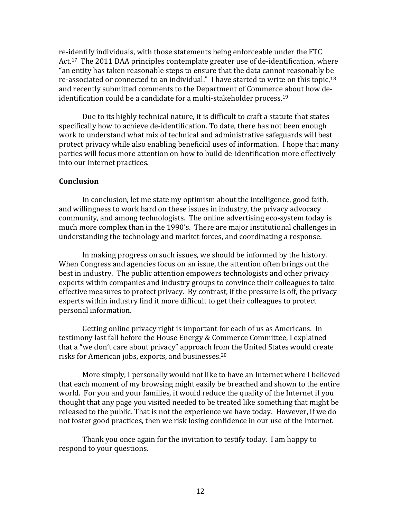re-identify individuals, with those statements being enforceable under the FTC Act.<sup>17</sup> The 2011 DAA principles contemplate greater use of de-identification, where "an entity has taken reasonable steps to ensure that the data cannot reasonably be re-associated or connected to an individual." I have started to write on this topic,<sup>18</sup> and recently submitted comments to the Department of Commerce about how deidentification could be a candidate for a multi-stakeholder process.<sup>19</sup>

Due to its highly technical nature, it is difficult to craft a statute that states specifically how to achieve de-identification. To date, there has not been enough work to understand what mix of technical and administrative safeguards will best protect privacy while also enabling beneficial uses of information. I hope that many parties will focus more attention on how to build de-identification more effectively into our Internet practices.

### **Conclusion**

In conclusion, let me state my optimism about the intelligence, good faith, and willingness to work hard on these issues in industry, the privacy advocacy community, and among technologists. The online advertising eco-system today is much more complex than in the 1990's. There are major institutional challenges in understanding the technology and market forces, and coordinating a response.

In making progress on such issues, we should be informed by the history. When Congress and agencies focus on an issue, the attention often brings out the best in industry. The public attention empowers technologists and other privacy experts within companies and industry groups to convince their colleagues to take effective measures to protect privacy. By contrast, if the pressure is off, the privacy experts within industry find it more difficult to get their colleagues to protect personal information.

Getting online privacy right is important for each of us as Americans. In testimony last fall before the House Energy & Commerce Committee, I explained that a "we don't care about privacy" approach from the United States would create risks for American jobs, exports, and businesses.<sup>20</sup>

More simply, I personally would not like to have an Internet where I believed that each moment of my browsing might easily be breached and shown to the entire world. For you and your families, it would reduce the quality of the Internet if you thought that any page you visited needed to be treated like something that might be released to the public. That is not the experience we have today. However, if we do not foster good practices, then we risk losing confidence in our use of the Internet.

Thank you once again for the invitation to testify today. I am happy to respond to your questions.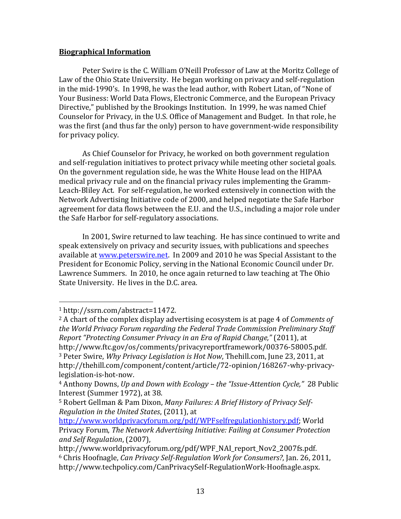## **Biographical Information**

Peter Swire is the C. William O'Neill Professor of Law at the Moritz College of Law of the Ohio State University. He began working on privacy and self-regulation in the mid-1990's. In 1998, he was the lead author, with Robert Litan, of "None of Your Business: World Data Flows, Electronic Commerce, and the European Privacy Directive," published by the Brookings Institution. In 1999, he was named Chief Counselor for Privacy, in the U.S. Office of Management and Budget. In that role, he was the first (and thus far the only) person to have government-wide responsibility for privacy policy.

As Chief Counselor for Privacy, he worked on both government regulation and self-regulation initiatives to protect privacy while meeting other societal goals. On the government regulation side, he was the White House lead on the HIPAA medical privacy rule and on the financial privacy rules implementing the Gramm-Leach-Bliley Act. For self-regulation, he worked extensively in connection with the Network Advertising Initiative code of 2000, and helped negotiate the Safe Harbor agreement for data flows between the E.U. and the U.S., including a major role under the Safe Harbor for self-regulatory associations.

In 2001, Swire returned to law teaching. He has since continued to write and speak extensively on privacy and security issues, with publications and speeches available at [www.peterswire.net.](http://www.peterswire.net/) In 2009 and 2010 he was Special Assistant to the President for Economic Policy, serving in the National Economic Council under Dr. Lawrence Summers. In 2010, he once again returned to law teaching at The Ohio State University. He lives in the D.C. area.

 $\overline{\phantom{a}}$ 

<sup>1</sup> http://ssrn.com/abstract=11472.

<sup>2</sup> A chart of the complex display advertising ecosystem is at page 4 of *Comments of the World Privacy Forum regarding the Federal Trade Commission Preliminary Staff Report "Protecting Consumer Privacy in an Era of Rapid Change,"* (2011), at http://www.ftc.gov/os/comments/privacyreportframework/00376-58005.pdf. <sup>3</sup> Peter Swire, *Why Privacy Legislation is Hot Now*, Thehill.com, June 23, 2011, at http://thehill.com/component/content/article/72-opinion/168267-why-privacylegislation-is-hot-now.

<sup>4</sup> Anthony Downs, *Up and Down with Ecology – the "Issue-Attention Cycle,"* 28 Public Interest (Summer 1972), at 38.

<sup>5</sup> Robert Gellman & Pam Dixon, *Many Failures: A Brief History of Privacy Self-Regulation in the United States*, (2011), at

[http://www.worldprivacyforum.org/pdf/WPFselfregulationhistory.pdf;](http://www.worldprivacyforum.org/pdf/WPFselfregulationhistory.pdf) World Privacy Forum, *The Network Advertising Initiative: Failing at Consumer Protection and Self Regulation*, (2007),

http://www.worldprivacyforum.org/pdf/WPF\_NAI\_report\_Nov2\_2007fs.pdf. <sup>6</sup> Chris Hoofnagle, *Can Privacy Self-Regulation Work for Consumers?*, Jan. 26, 2011, http://www.techpolicy.com/CanPrivacySelf-RegulationWork-Hoofnagle.aspx.